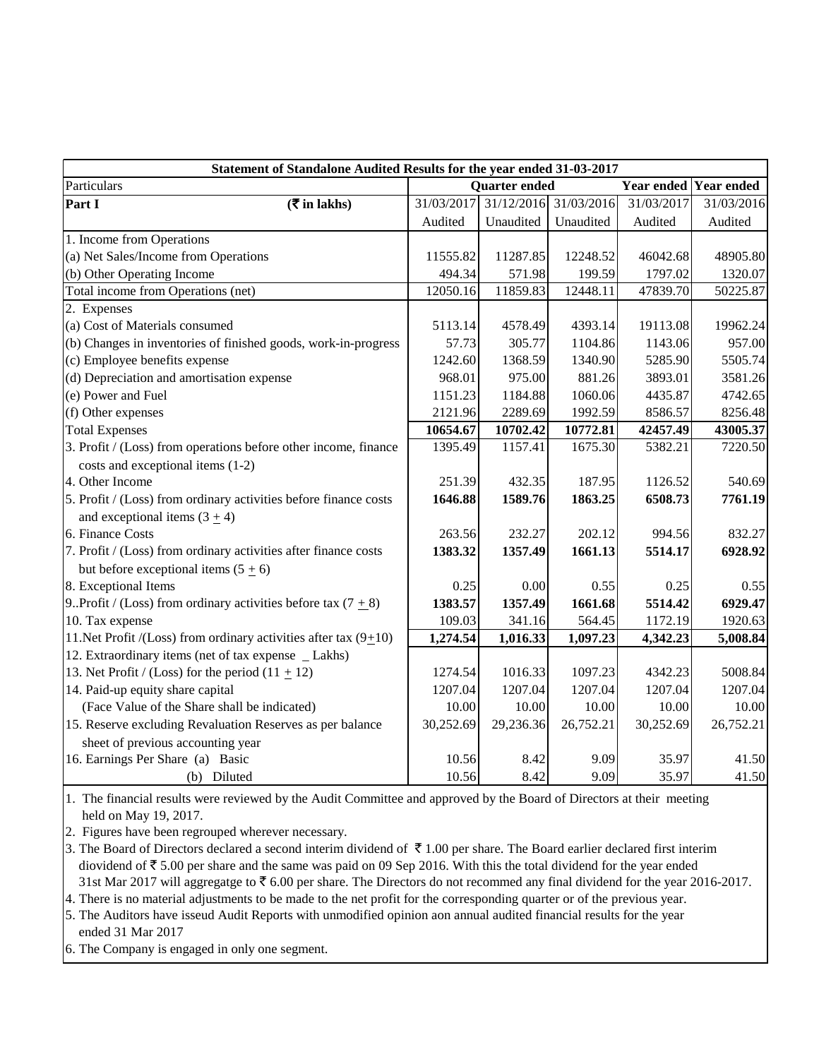| Statement of Standalone Audited Results for the year ended 31-03-2017 |                      |           |                       |            |                       |  |
|-----------------------------------------------------------------------|----------------------|-----------|-----------------------|------------|-----------------------|--|
| Particulars                                                           | <b>Quarter</b> ended |           |                       |            | Year ended Year ended |  |
| Part I<br>$(\overline{\mathbf{\overline{z}}}$ in lakhs)               | 31/03/2017           |           | 31/12/2016 31/03/2016 | 31/03/2017 | 31/03/2016            |  |
|                                                                       | Audited              | Unaudited | Unaudited             | Audited    | Audited               |  |
| 1. Income from Operations                                             |                      |           |                       |            |                       |  |
| (a) Net Sales/Income from Operations                                  | 11555.82             | 11287.85  | 12248.52              | 46042.68   | 48905.80              |  |
| (b) Other Operating Income                                            | 494.34               | 571.98    | 199.59                | 1797.02    | 1320.07               |  |
| Total income from Operations (net)                                    | 12050.16             | 11859.83  | 12448.11              | 47839.70   | 50225.87              |  |
| 2. Expenses                                                           |                      |           |                       |            |                       |  |
| (a) Cost of Materials consumed                                        | 5113.14              | 4578.49   | 4393.14               | 19113.08   | 19962.24              |  |
| (b) Changes in inventories of finished goods, work-in-progress        | 57.73                | 305.77    | 1104.86               | 1143.06    | 957.00                |  |
| (c) Employee benefits expense                                         | 1242.60              | 1368.59   | 1340.90               | 5285.90    | 5505.74               |  |
| (d) Depreciation and amortisation expense                             | 968.01               | 975.00    | 881.26                | 3893.01    | 3581.26               |  |
| (e) Power and Fuel                                                    | 1151.23              | 1184.88   | 1060.06               | 4435.87    | 4742.65               |  |
| (f) Other expenses                                                    | 2121.96              | 2289.69   | 1992.59               | 8586.57    | 8256.48               |  |
| <b>Total Expenses</b>                                                 | 10654.67             | 10702.42  | 10772.81              | 42457.49   | 43005.37              |  |
| 3. Profit / (Loss) from operations before other income, finance       | 1395.49              | 1157.41   | 1675.30               | 5382.21    | 7220.50               |  |
| costs and exceptional items (1-2)                                     |                      |           |                       |            |                       |  |
| 4. Other Income                                                       | 251.39               | 432.35    | 187.95                | 1126.52    | 540.69                |  |
| 5. Profit / (Loss) from ordinary activities before finance costs      | 1646.88              | 1589.76   | 1863.25               | 6508.73    | 7761.19               |  |
| and exceptional items $(3 + 4)$                                       |                      |           |                       |            |                       |  |
| 6. Finance Costs                                                      | 263.56               | 232.27    | 202.12                | 994.56     | 832.27                |  |
| 7. Profit / (Loss) from ordinary activities after finance costs       | 1383.32              | 1357.49   | 1661.13               | 5514.17    | 6928.92               |  |
| but before exceptional items $(5 \pm 6)$                              |                      |           |                       |            |                       |  |
| 8. Exceptional Items                                                  | 0.25                 | 0.00      | 0.55                  | 0.25       | 0.55                  |  |
| 9. Profit / (Loss) from ordinary activities before tax (7 $\pm$ 8)    | 1383.57              | 1357.49   | 1661.68               | 5514.42    | 6929.47               |  |
| 10. Tax expense                                                       | 109.03               | 341.16    | 564.45                | 1172.19    | 1920.63               |  |
| 11. Net Profit /(Loss) from ordinary activities after tax $(9+10)$    | 1,274.54             | 1,016.33  | 1,097.23              | 4,342.23   | 5,008.84              |  |
| 12. Extraordinary items (net of tax expense _ Lakhs)                  |                      |           |                       |            |                       |  |
| 13. Net Profit / (Loss) for the period $(11 + 12)$                    | 1274.54              | 1016.33   | 1097.23               | 4342.23    | 5008.84               |  |
| 14. Paid-up equity share capital                                      | 1207.04              | 1207.04   | 1207.04               | 1207.04    | 1207.04               |  |
| (Face Value of the Share shall be indicated)                          | 10.00                | 10.00     | 10.00                 | 10.00      | 10.00                 |  |
| 15. Reserve excluding Revaluation Reserves as per balance             | 30,252.69            | 29,236.36 | 26,752.21             | 30,252.69  | 26,752.21             |  |
| sheet of previous accounting year                                     |                      |           |                       |            |                       |  |
| 16. Earnings Per Share (a) Basic                                      | 10.56                | 8.42      | 9.09                  | 35.97      | 41.50                 |  |
| (b) Diluted                                                           | 10.56                | 8.42      | 9.09                  | 35.97      | 41.50                 |  |

1. The financial results were reviewed by the Audit Committee and approved by the Board of Directors at their meeting held on May 19, 2017.

2. Figures have been regrouped wherever necessary.

3. The Board of Directors declared a second interim dividend of  $\bar{\tau}$  1.00 per share. The Board earlier declared first interim diovidend of  $\bar{z}$  5.00 per share and the same was paid on 09 Sep 2016. With this the total dividend for the year ended 31st Mar 2017 will aggregatge to  $\bar{z}$  6.00 per share. The Directors do not recommed any final dividend for the year 2016-2017.

4. There is no material adjustments to be made to the net profit for the corresponding quarter or of the previous year.

5. The Auditors have isseud Audit Reports with unmodified opinion aon annual audited financial results for the year

ended 31 Mar 2017

6. The Company is engaged in only one segment.